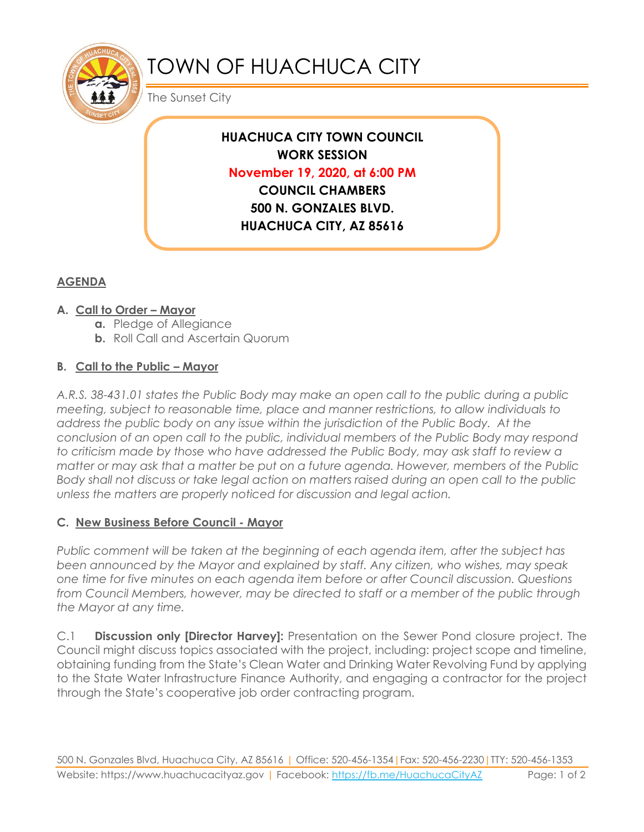

# TOWN OF HUACHUCA CITY

The Sunset City

**HUACHUCA CITY TOWN COUNCIL WORK SESSION November 19, 2020, at 6:00 PM COUNCIL CHAMBERS 500 N. GONZALES BLVD. HUACHUCA CITY, AZ 85616**

# **AGENDA**

### **A. Call to Order – Mayor**

- **a.** Pledge of Allegiance
- **b.** Roll Call and Ascertain Quorum

## **B. Call to the Public – Mayor**

*A.R.S. 38-431.01 states the Public Body may make an open call to the public during a public meeting, subject to reasonable time, place and manner restrictions, to allow individuals to address the public body on any issue within the jurisdiction of the Public Body. At the conclusion of an open call to the public, individual members of the Public Body may respond to criticism made by those who have addressed the Public Body, may ask staff to review a matter or may ask that a matter be put on a future agenda. However, members of the Public Body shall not discuss or take legal action on matters raised during an open call to the public unless the matters are properly noticed for discussion and legal action.*

### **C. New Business Before Council - Mayor**

*Public comment will be taken at the beginning of each agenda item, after the subject has been announced by the Mayor and explained by staff. Any citizen, who wishes, may speak one time for five minutes on each agenda item before or after Council discussion. Questions from Council Members, however, may be directed to staff or a member of the public through the Mayor at any time.* 

C.1 **Discussion only [Director Harvey]:** Presentation on the Sewer Pond closure project. The Council might discuss topics associated with the project, including: project scope and timeline, obtaining funding from the State's Clean Water and Drinking Water Revolving Fund by applying to the State Water Infrastructure Finance Authority, and engaging a contractor for the project through the State's cooperative job order contracting program.